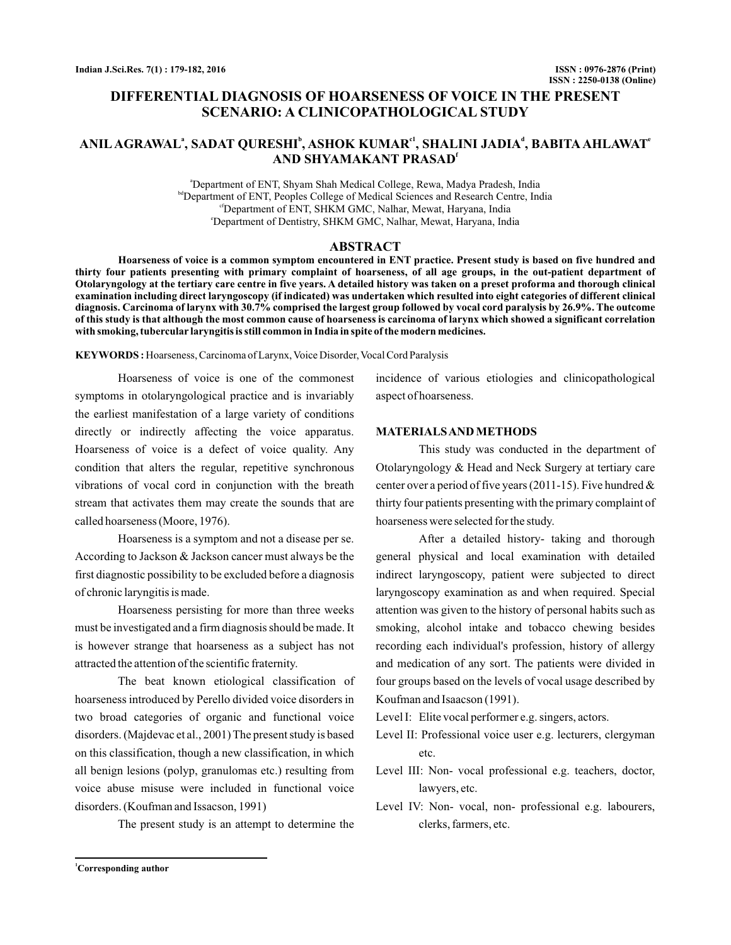# **DIFFERENTIAL DIAGNOSIS OF HOARSENESS OF VOICE IN THE PRESENT SCENARIO: A CLINICOPATHOLOGICAL STUDY**

# $\mathbf{A}\mathbf{NIL}\ \mathbf{AGRAWAL}^{\mathbf{a}}, \mathbf{SADAT}\ \mathbf{QURESHI}^{\mathbf{b}}, \mathbf{ASHOK}\ \mathbf{KUMAR}^{\mathbf{c1}}, \mathbf{SHALINI}\ \mathbf{JADIA}^{\mathbf{a}}, \mathbf{BABITA}\ \mathbf{AHLAWAT}^{\mathbf{c2}}$ **AND SHYAMAKANT PRASAD f**

a Department of ENT, Shyam Shah Medical College, Rewa, Madya Pradesh, India **bd** Department of ENT, Peoples College of Medical Sciences and Research Centre, India <sup>cf</sup>Department of ENT, SHKM GMC, Nalhar, Mewat, Haryana, India e Department of Dentistry, SHKM GMC, Nalhar, Mewat, Haryana, India

#### **ABSTRACT**

**Hoarseness of voice is a common symptom encountered in ENT practice. Present study is based on five hundred and thirty four patients presenting with primary complaint of hoarseness, of all age groups, in the out-patient department of Otolaryngology at the tertiary care centre in five years. A detailed history was taken on a preset proforma and thorough clinical examination including direct laryngoscopy (if indicated) was undertaken which resulted into eight categories of different clinical diagnosis. Carcinoma of larynx with 30.7% comprised the largest group followed by vocal cord paralysis by 26.9%. The outcome of this study is that although the most common cause of hoarseness is carcinoma of larynx which showed a significant correlation with smoking, tubercular laryngitis is still common in India in spite of the modern medicines.**

KEYWORDS: Hoarseness, Carcinoma of Larynx, Voice Disorder, Vocal Cord Paralysis

Hoarseness of voice is one of the commonest symptoms in otolaryngological practice and is invariably the earliest manifestation of a large variety of conditions directly or indirectly affecting the voice apparatus. Hoarseness of voice is a defect of voice quality. Any condition that alters the regular, repetitive synchronous vibrations of vocal cord in conjunction with the breath stream that activates them may create the sounds that are called hoarseness (Moore, 1976).

Hoarseness is a symptom and not a disease per se. According to Jackson & Jackson cancer must always be the first diagnostic possibility to be excluded before a diagnosis of chronic laryngitis is made.

Hoarseness persisting for more than three weeks must be investigated and a firm diagnosis should be made. It is however strange that hoarseness as a subject has not attracted the attention of the scientific fraternity.

The beat known etiological classification of hoarseness introduced by Perello divided voice disorders in two broad categories of organic and functional voice disorders. (Majdevac et al., 2001) The present study is based on this classification, though a new classification, in which all benign lesions (polyp, granulomas etc.) resulting from voice abuse misuse were included in functional voice disorders. (Koufman and Issacson, 1991)

The present study is an attempt to determine the

incidence of various etiologies and clinicopathological aspect of hoarseness.

## **MATERIALSAND METHODS**

This study was conducted in the department of Otolaryngology & Head and Neck Surgery at tertiary care center over a period of five years (2011-15). Five hundred & thirty four patients presenting with the primary complaint of hoarseness were selected for the study.

After a detailed history- taking and thorough general physical and local examination with detailed indirect laryngoscopy, patient were subjected to direct laryngoscopy examination as and when required. Special attention was given to the history of personal habits such as smoking, alcohol intake and tobacco chewing besides recording each individual's profession, history of allergy and medication of any sort. The patients were divided in four groups based on the levels of vocal usage described by Koufman and Isaacson (1991).

Level I: Elite vocal performer e.g. singers, actors.

- Level II: Professional voice user e.g. lecturers, clergyman etc.
- Level III: Non- vocal professional e.g. teachers, doctor, lawyers, etc.
- Level IV: Non- vocal, non- professional e.g. labourers, clerks, farmers, etc.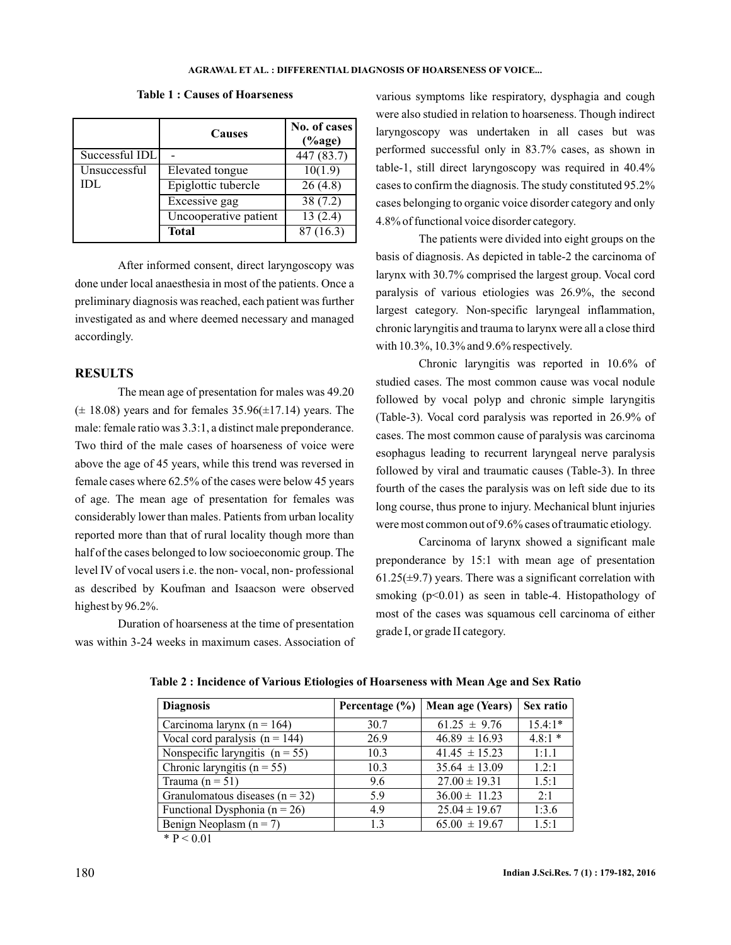|                | <b>Causes</b>         | No. of cases $ $<br>$(\%$ age) |
|----------------|-----------------------|--------------------------------|
| Successful IDL |                       | 447 (83.7)                     |
| Unsuccessful   | Elevated tongue       | 10(1.9)                        |
| IDL            | Epiglottic tubercle   | 26(4.8)                        |
|                | Excessive gag         | 38(7.2)                        |
|                | Uncooperative patient | 13(2.4)                        |
|                | <b>Total</b>          | 87(16.3)                       |

**Table 1 : Causes of Hoarseness**

After informed consent, direct laryngoscopy was done under local anaesthesia in most of the patients. Once a preliminary diagnosis was reached, each patient was further investigated as and where deemed necessary and managed accordingly.

## **RESULTS**

The mean age of presentation for males was 49.20  $(\pm 18.08)$  years and for females 35.96( $\pm$ 17.14) years. The male: female ratio was 3.3:1, a distinct male preponderance. Two third of the male cases of hoarseness of voice were above the age of 45 years, while this trend was reversed in female cases where 62.5% of the cases were below 45 years of age. The mean age of presentation for females was considerably lower than males. Patients from urban locality reported more than that of rural locality though more than half of the cases belonged to low socioeconomic group. The level IV of vocal users i.e. the non- vocal, non- professional as described by Koufman and Isaacson were observed highest by 96.2%.

Duration of hoarseness at the time of presentation was within 3-24 weeks in maximum cases. Association of various symptoms like respiratory, dysphagia and cough were also studied in relation to hoarseness. Though indirect laryngoscopy was undertaken in all cases but was performed successful only in 83.7% cases, as shown in table-1, still direct laryngoscopy was required in 40.4% cases to confirm the diagnosis. The study constituted 95.2% cases belonging to organic voice disorder category and only 4.8% of functional voice disorder category.

The patients were divided into eight groups on the basis of diagnosis. As depicted in table-2 the carcinoma of larynx with 30.7% comprised the largest group. Vocal cord paralysis of various etiologies was 26.9%, the second largest category. Non-specific laryngeal inflammation, chronic laryngitis and trauma to larynx were all a close third with 10.3%, 10.3% and 9.6% respectively.

Chronic laryngitis was reported in 10.6% of studied cases. The most common cause was vocal nodule followed by vocal polyp and chronic simple laryngitis (Table-3). Vocal cord paralysis was reported in 26.9% of cases. The most common cause of paralysis was carcinoma esophagus leading to recurrent laryngeal nerve paralysis followed by viral and traumatic causes (Table-3). In three fourth of the cases the paralysis was on left side due to its long course, thus prone to injury. Mechanical blunt injuries were most common out of 9.6% cases of traumatic etiology.

Carcinoma of larynx showed a significant male preponderance by 15:1 with mean age of presentation  $61.25(\pm 9.7)$  years. There was a significant correlation with smoking  $(p<0.01)$  as seen in table-4. Histopathology of most of the cases was squamous cell carcinoma of either grade I, or grade II category.

| <b>Diagnosis</b>                    | Percentage $(\% )$ | Mean age (Years)  | Sex ratio |
|-------------------------------------|--------------------|-------------------|-----------|
| Carcinoma larynx ( $n = 164$ )      | 30.7               | $61.25 \pm 9.76$  | $15.4:1*$ |
| Vocal cord paralysis $(n = 144)$    | 26.9               | $46.89 \pm 16.93$ | $4.8:1*$  |
| Nonspecific laryngitis $(n = 55)$   | 10.3               | $41.45 \pm 15.23$ | 1:1.1     |
| Chronic laryngitis ( $n = 55$ )     | 10.3               | $35.64 \pm 13.09$ | 1.2:1     |
| Trauma $(n = 51)$                   | 9.6                | $27.00 \pm 19.31$ | 1.5:1     |
| Granulomatous diseases ( $n = 32$ ) | 5.9                | $36.00 \pm 11.23$ | 2:1       |
| Functional Dysphonia ( $n = 26$ )   | 4.9                | $25.04 \pm 19.67$ | 1:3.6     |
| Benign Neoplasm $(n = 7)$           | 1.3                | $65.00 \pm 19.67$ | 1.5:1     |

**Table 2 : Incidence of Various Etiologies of Hoarseness with Mean Age and Sex Ratio**

 $*$  P < 0.01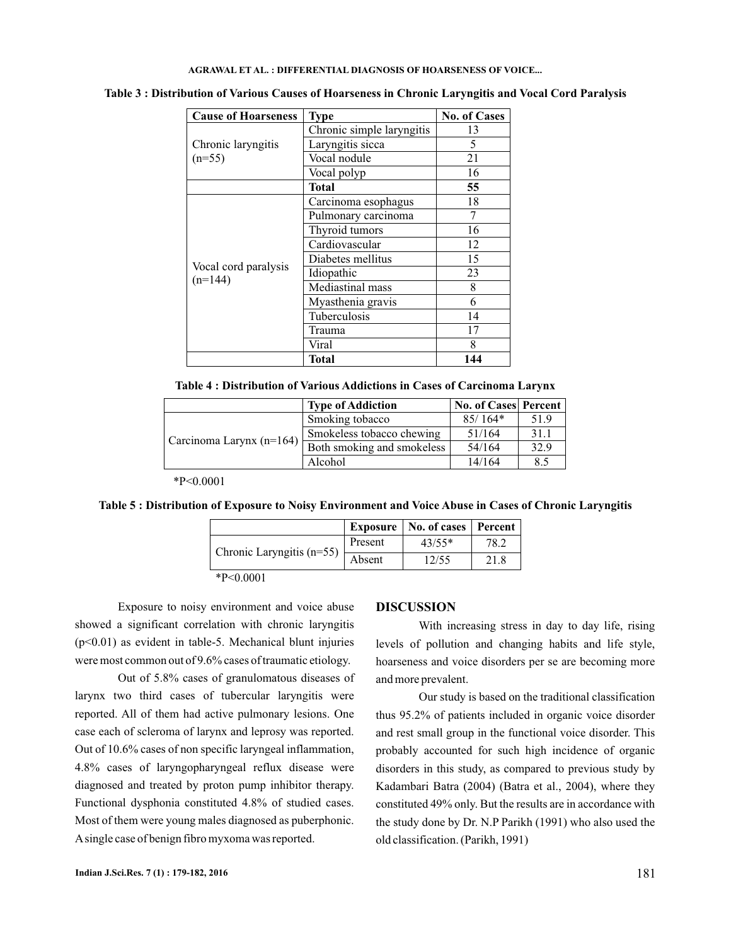#### **AGRAWAL ET AL. : DIFFERENTIAL DIAGNOSIS OF HOARSENESS OF VOICE...**

| <b>Cause of Hoarseness</b>        | <b>Type</b>               | <b>No. of Cases</b> |
|-----------------------------------|---------------------------|---------------------|
|                                   | Chronic simple laryngitis | 13                  |
| Chronic laryngitis<br>$(n=55)$    | Laryngitis sicca          | 5                   |
|                                   | Vocal nodule              | 21                  |
|                                   | Vocal polyp               | 16                  |
|                                   | <b>Total</b>              | 55                  |
|                                   | Carcinoma esophagus       | 18                  |
|                                   | Pulmonary carcinoma       |                     |
|                                   | Thyroid tumors            | 16                  |
|                                   | Cardiovascular            | 12                  |
|                                   | Diabetes mellitus         | 15                  |
| Vocal cord paralysis<br>$(n=144)$ | Idiopathic                | 23                  |
|                                   | Mediastinal mass          | 8                   |
|                                   | Myasthenia gravis         | 6                   |
|                                   | Tuberculosis              | 14                  |
|                                   | Trauma                    | 17                  |
|                                   | Viral                     | 8                   |
|                                   | <b>Total</b>              | 144                 |

**Table 3 : Distribution of Various Causes of Hoarseness in Chronic Laryngitis and Vocal Cord Paralysis**

**Table 4 : Distribution of Various Addictions in Cases of Carcinoma Larynx**

|                            | <b>Type of Addiction</b>   | <b>No. of Cases Percent</b> |      |
|----------------------------|----------------------------|-----------------------------|------|
| Carcinoma Larynx $(n=164)$ | Smoking tobacco            | $85/164*$                   | 51.9 |
|                            | Smokeless tobacco chewing  | 51/164                      | 31.1 |
|                            | Both smoking and smokeless | 54/164                      | 32.9 |
|                            | Alcohol                    | 14/164                      | 8.5  |

\*P<0.0001

**Table 5 : Distribution of Exposure to Noisy Environment and Voice Abuse in Cases of Chronic Laryngitis**

|                             | <b>Exposure</b> | No. of cases | Percent |
|-----------------------------|-----------------|--------------|---------|
|                             | Present         | $43/55*$     | 78.2    |
| Chronic Laryngitis $(n=55)$ | Absent          | 12/55        | 21.8    |
| $*P<0.0001$                 |                 |              |         |

Exposure to noisy environment and voice abuse showed a significant correlation with chronic laryngitis (p<0.01) as evident in table-5. Mechanical blunt injuries were most common out of 9.6% cases of traumatic etiology.

Out of 5.8% cases of granulomatous diseases of larynx two third cases of tubercular laryngitis were reported. All of them had active pulmonary lesions. One case each of scleroma of larynx and leprosy was reported. Out of 10.6% cases of non specific laryngeal inflammation, 4.8% cases of laryngopharyngeal reflux disease were diagnosed and treated by proton pump inhibitor therapy. Functional dysphonia constituted 4.8% of studied cases. Most of them were young males diagnosed as puberphonic. Asingle case of benign fibro myxoma was reported.

## **DISCUSSION**

With increasing stress in day to day life, rising levels of pollution and changing habits and life style, hoarseness and voice disorders per se are becoming more and more prevalent.

Our study is based on the traditional classification thus 95.2% of patients included in organic voice disorder and rest small group in the functional voice disorder. This probably accounted for such high incidence of organic disorders in this study, as compared to previous study by Kadambari Batra (2004) (Batra et al., 2004), where they constituted 49% only. But the results are in accordance with the study done by Dr. N.P Parikh (1991) who also used the old classification. (Parikh, 1991)